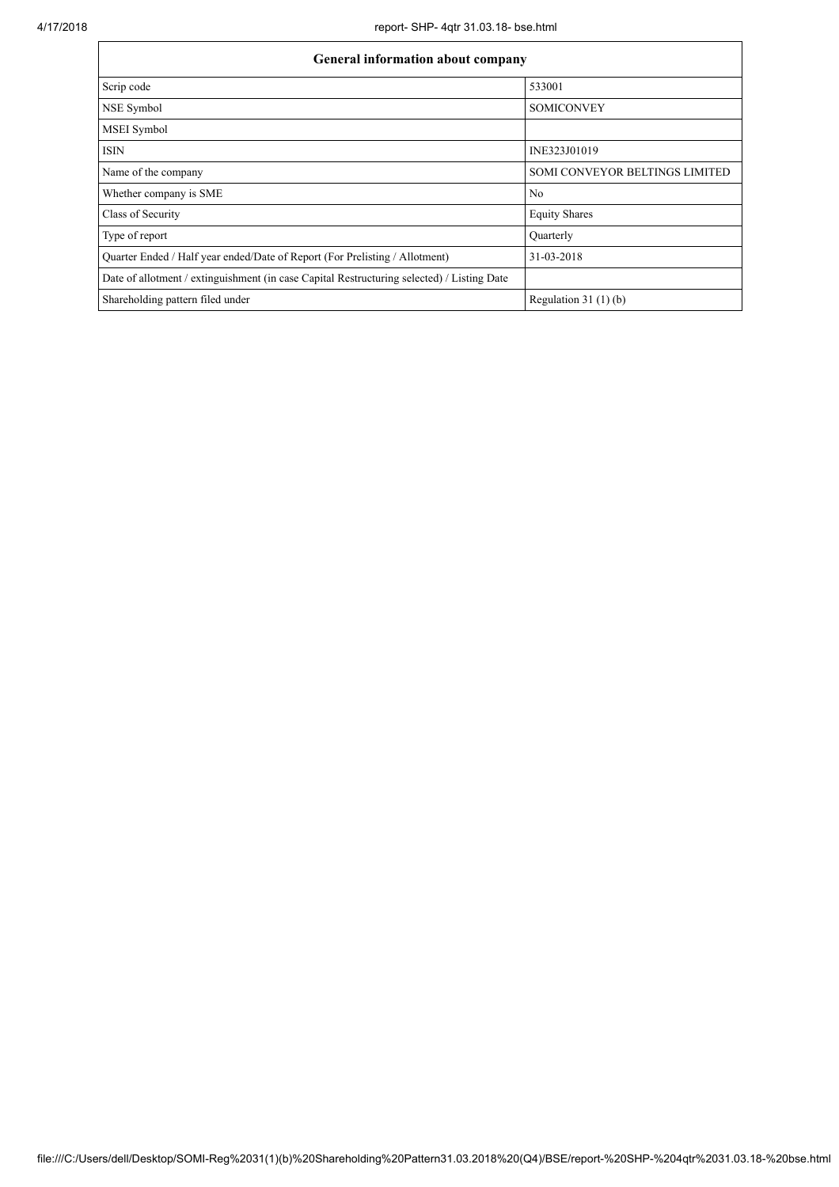| <b>General information about company</b>                                                   |                                       |  |  |  |  |  |  |
|--------------------------------------------------------------------------------------------|---------------------------------------|--|--|--|--|--|--|
| Scrip code                                                                                 | 533001                                |  |  |  |  |  |  |
| NSE Symbol                                                                                 | <b>SOMICONVEY</b>                     |  |  |  |  |  |  |
| <b>MSEI</b> Symbol                                                                         |                                       |  |  |  |  |  |  |
| <b>ISIN</b>                                                                                | INE323J01019                          |  |  |  |  |  |  |
| Name of the company                                                                        | <b>SOMI CONVEYOR BELTINGS LIMITED</b> |  |  |  |  |  |  |
| Whether company is SME                                                                     | N <sub>0</sub>                        |  |  |  |  |  |  |
| Class of Security                                                                          | <b>Equity Shares</b>                  |  |  |  |  |  |  |
| Type of report                                                                             | Quarterly                             |  |  |  |  |  |  |
| Quarter Ended / Half year ended/Date of Report (For Prelisting / Allotment)                | 31-03-2018                            |  |  |  |  |  |  |
| Date of allotment / extinguishment (in case Capital Restructuring selected) / Listing Date |                                       |  |  |  |  |  |  |
| Shareholding pattern filed under                                                           | Regulation $31(1)(b)$                 |  |  |  |  |  |  |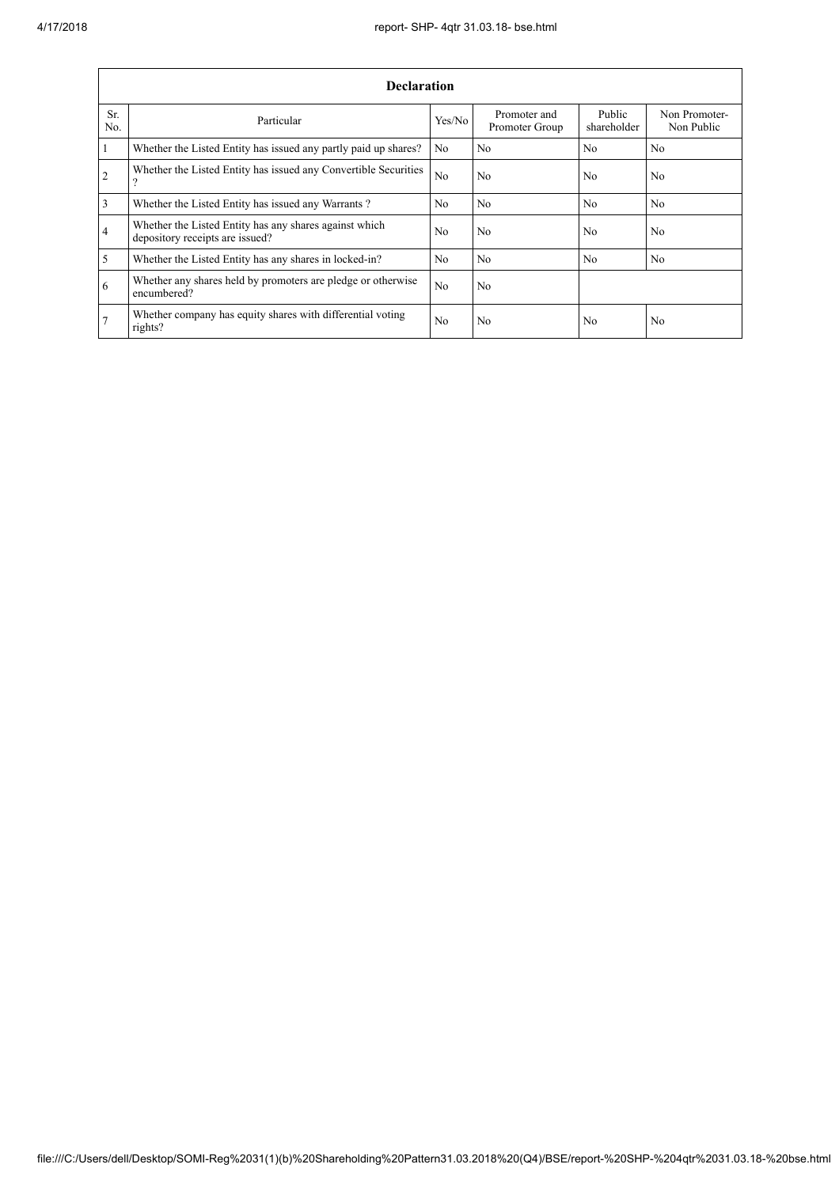$\mathbf{r}$ 

٦

|                | <b>Declaration</b>                                                                        |                |                                |                       |                             |  |  |  |  |  |
|----------------|-------------------------------------------------------------------------------------------|----------------|--------------------------------|-----------------------|-----------------------------|--|--|--|--|--|
| Sr.<br>No.     | Particular                                                                                | Yes/No         | Promoter and<br>Promoter Group | Public<br>shareholder | Non Promoter-<br>Non Public |  |  |  |  |  |
| $\vert$ 1      | Whether the Listed Entity has issued any partly paid up shares?                           | No             | No                             | N <sub>0</sub>        | No                          |  |  |  |  |  |
| $\overline{2}$ | Whether the Listed Entity has issued any Convertible Securities<br>റ                      | N <sub>o</sub> | No                             | N <sub>0</sub>        | N <sub>0</sub>              |  |  |  |  |  |
| $\overline{3}$ | Whether the Listed Entity has issued any Warrants?                                        | N <sub>0</sub> | No                             | N <sub>0</sub>        | N <sub>0</sub>              |  |  |  |  |  |
| $\overline{4}$ | Whether the Listed Entity has any shares against which<br>depository receipts are issued? | N <sub>0</sub> | No                             | N <sub>0</sub>        | N <sub>0</sub>              |  |  |  |  |  |
| $\overline{5}$ | Whether the Listed Entity has any shares in locked-in?                                    | N <sub>o</sub> | No                             | N <sub>0</sub>        | N <sub>0</sub>              |  |  |  |  |  |
| 6              | Whether any shares held by promoters are pledge or otherwise<br>encumbered?               | N <sub>0</sub> | No                             |                       |                             |  |  |  |  |  |
| $\overline{7}$ | Whether company has equity shares with differential voting<br>rights?                     | N <sub>0</sub> | No                             | N <sub>0</sub>        | No                          |  |  |  |  |  |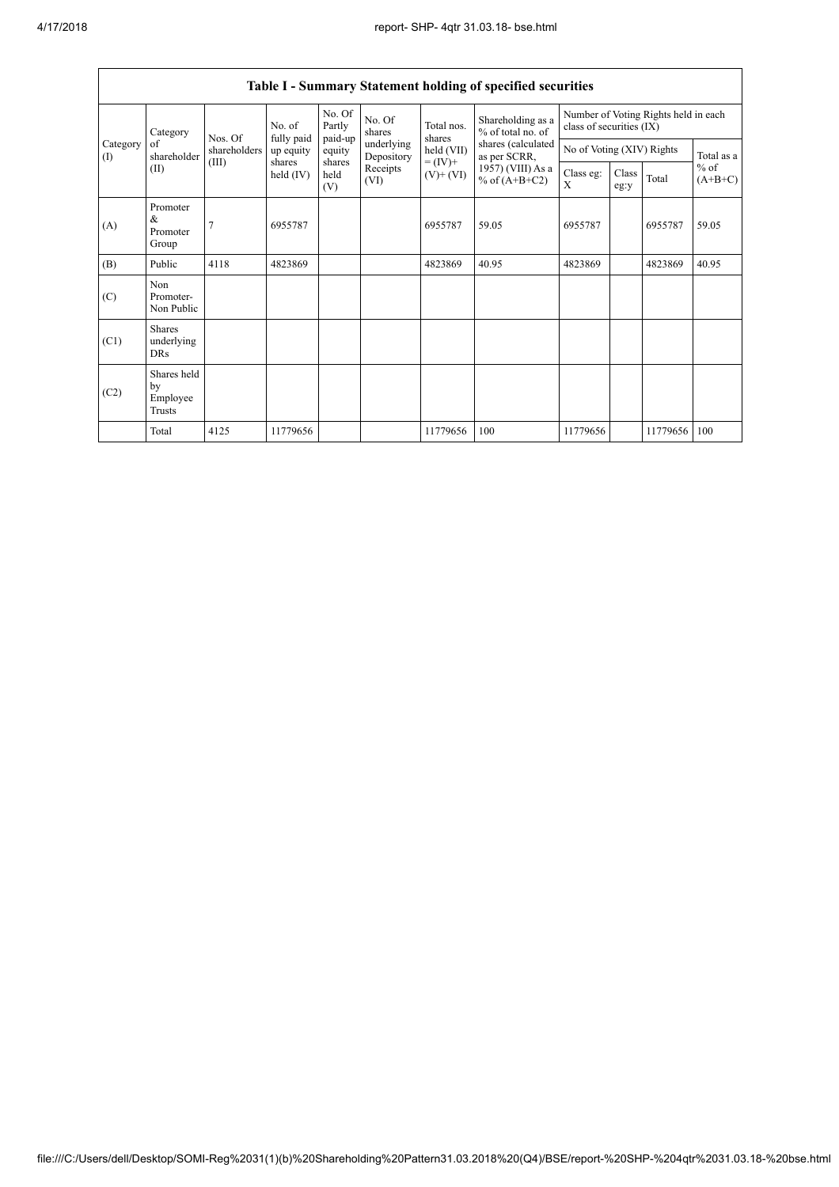$\mathbf{r}$ 

| Table I - Summary Statement holding of specified securities |                                           |                |                       |                       |                                                                  |                                                                    |                                                                                                                      |                                                                  |                           |          |                     |
|-------------------------------------------------------------|-------------------------------------------|----------------|-----------------------|-----------------------|------------------------------------------------------------------|--------------------------------------------------------------------|----------------------------------------------------------------------------------------------------------------------|------------------------------------------------------------------|---------------------------|----------|---------------------|
|                                                             | Category                                  | Nos. Of        | No. of<br>fully paid  | No. Of<br>Partly      | No. Of<br>shares<br>underlying<br>Depository<br>Receipts<br>(VI) | Total nos.<br>shares<br>held (VII)<br>$= (IV) +$<br>$(V)$ + $(VI)$ | Shareholding as a<br>% of total no. of<br>shares (calculated<br>as per SCRR,<br>1957) (VIII) As a<br>% of $(A+B+C2)$ | Number of Voting Rights held in each<br>class of securities (IX) |                           |          |                     |
| Category<br>$($ I                                           | of<br>shareholder                         | shareholders   | up equity             | paid-up<br>equity     |                                                                  |                                                                    |                                                                                                                      |                                                                  | No of Voting (XIV) Rights |          |                     |
|                                                             | (II)                                      | (III)          | shares<br>held $(IV)$ | shares<br>held<br>(V) |                                                                  |                                                                    |                                                                                                                      | Class eg:<br>X                                                   | Class<br>eg:y             | Total    | $%$ of<br>$(A+B+C)$ |
| (A)                                                         | Promoter<br>$\&$<br>Promoter<br>Group     | $\overline{7}$ | 6955787               |                       |                                                                  | 6955787                                                            | 59.05                                                                                                                | 6955787                                                          |                           | 6955787  | 59.05               |
| (B)                                                         | Public                                    | 4118           | 4823869               |                       |                                                                  | 4823869                                                            | 40.95                                                                                                                | 4823869                                                          |                           | 4823869  | 40.95               |
| (C)                                                         | Non<br>Promoter-<br>Non Public            |                |                       |                       |                                                                  |                                                                    |                                                                                                                      |                                                                  |                           |          |                     |
| (C1)                                                        | <b>Shares</b><br>underlying<br><b>DRs</b> |                |                       |                       |                                                                  |                                                                    |                                                                                                                      |                                                                  |                           |          |                     |
| (C2)                                                        | Shares held<br>by<br>Employee<br>Trusts   |                |                       |                       |                                                                  |                                                                    |                                                                                                                      |                                                                  |                           |          |                     |
|                                                             | Total                                     | 4125           | 11779656              |                       |                                                                  | 11779656                                                           | 100                                                                                                                  | 11779656                                                         |                           | 11779656 | 100                 |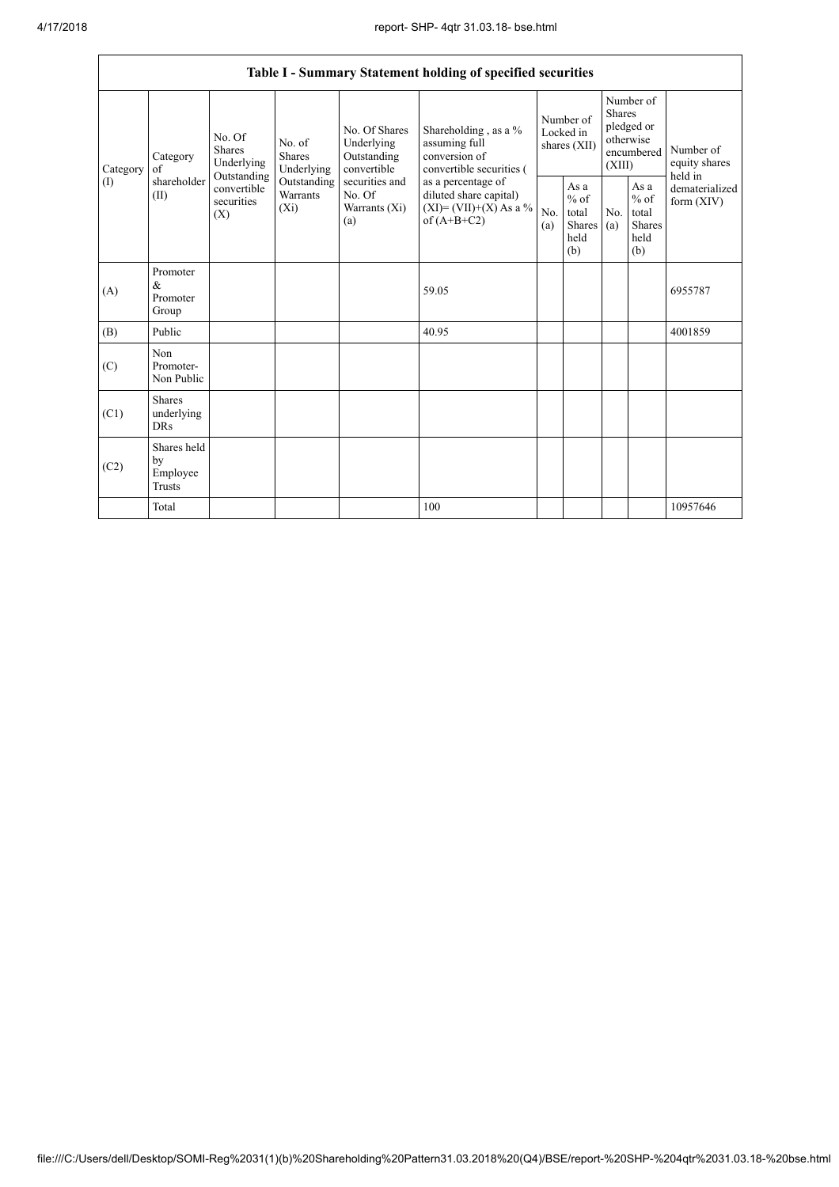|                          |                                           |                                                                                          |                                                                                    |                                                                                                               | Table I - Summary Statement holding of specified securities                                                                                                                          |                                        |                                                  |                                                                               |                                                          |                                           |
|--------------------------|-------------------------------------------|------------------------------------------------------------------------------------------|------------------------------------------------------------------------------------|---------------------------------------------------------------------------------------------------------------|--------------------------------------------------------------------------------------------------------------------------------------------------------------------------------------|----------------------------------------|--------------------------------------------------|-------------------------------------------------------------------------------|----------------------------------------------------------|-------------------------------------------|
| Category<br>$($ $\Gamma$ | Category<br>of<br>shareholder<br>(II)     | No. Of<br><b>Shares</b><br>Underlying<br>Outstanding<br>convertible<br>securities<br>(X) | No. of<br><b>Shares</b><br>Underlying<br>Outstanding<br><b>Warrants</b><br>$(X_i)$ | No. Of Shares<br>Underlying<br>Outstanding<br>convertible<br>securities and<br>No. Of<br>Warrants (Xi)<br>(a) | Shareholding , as a $\%$<br>assuming full<br>conversion of<br>convertible securities (<br>as a percentage of<br>diluted share capital)<br>$(XI) = (VII)+(X) As a %$<br>of $(A+B+C2)$ | Number of<br>Locked in<br>shares (XII) |                                                  | Number of<br><b>Shares</b><br>pledged or<br>otherwise<br>encumbered<br>(XIII) |                                                          | Number of<br>equity shares                |
|                          |                                           |                                                                                          |                                                                                    |                                                                                                               |                                                                                                                                                                                      | No.<br>(a)                             | As a<br>$%$ of<br>total<br>Shares<br>held<br>(b) | No.<br>(a)                                                                    | As a<br>$\%$ of<br>total<br><b>Shares</b><br>held<br>(b) | held in<br>dematerialized<br>form $(XIV)$ |
| (A)                      | Promoter<br>$\&$<br>Promoter<br>Group     |                                                                                          |                                                                                    |                                                                                                               | 59.05                                                                                                                                                                                |                                        |                                                  |                                                                               |                                                          | 6955787                                   |
| (B)                      | Public                                    |                                                                                          |                                                                                    |                                                                                                               | 40.95                                                                                                                                                                                |                                        |                                                  |                                                                               |                                                          | 4001859                                   |
| (C)                      | Non<br>Promoter-<br>Non Public            |                                                                                          |                                                                                    |                                                                                                               |                                                                                                                                                                                      |                                        |                                                  |                                                                               |                                                          |                                           |
| (C1)                     | <b>Shares</b><br>underlying<br><b>DRs</b> |                                                                                          |                                                                                    |                                                                                                               |                                                                                                                                                                                      |                                        |                                                  |                                                                               |                                                          |                                           |
| (C2)                     | Shares held<br>by<br>Employee<br>Trusts   |                                                                                          |                                                                                    |                                                                                                               |                                                                                                                                                                                      |                                        |                                                  |                                                                               |                                                          |                                           |
|                          | Total                                     |                                                                                          |                                                                                    |                                                                                                               | 100                                                                                                                                                                                  |                                        |                                                  |                                                                               |                                                          | 10957646                                  |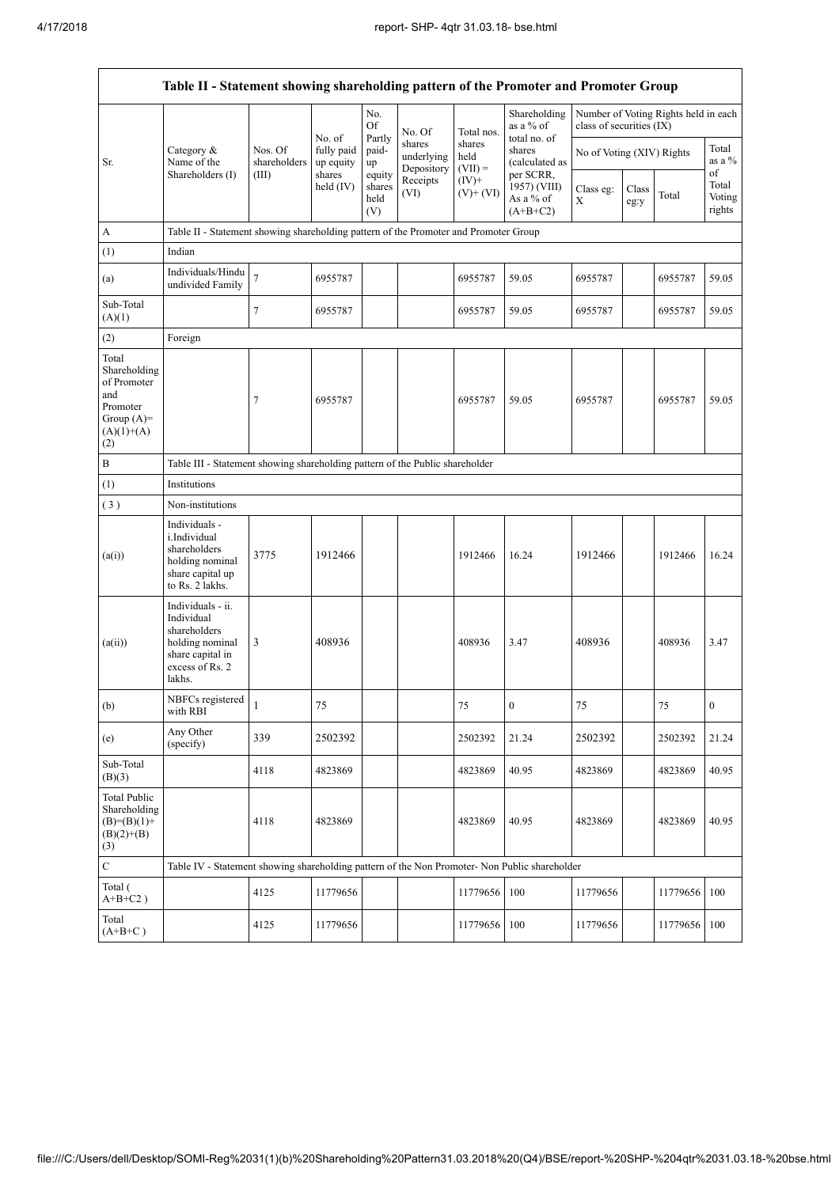$\mathsf{r}$ 

 $\overline{\phantom{a}}$ 

| Table II - Statement showing shareholding pattern of the Promoter and Promoter Group           |                                                                                                                     |                                                                                      |                         |                                 |                                    |                             |                                                      |                           |               |                                      |                           |  |
|------------------------------------------------------------------------------------------------|---------------------------------------------------------------------------------------------------------------------|--------------------------------------------------------------------------------------|-------------------------|---------------------------------|------------------------------------|-----------------------------|------------------------------------------------------|---------------------------|---------------|--------------------------------------|---------------------------|--|
|                                                                                                |                                                                                                                     |                                                                                      | No. of                  | No.<br>Of<br>Partly             | No. Of                             | Total nos.                  | Shareholding<br>as a % of<br>total no. of            | class of securities (IX)  |               | Number of Voting Rights held in each |                           |  |
| Sr.                                                                                            | Category &<br>Name of the<br>Shareholders (I)                                                                       | Nos. Of<br>shareholders<br>(III)                                                     | fully paid<br>up equity | paid-<br>up                     | shares<br>underlying<br>Depository | shares<br>held<br>$(VII) =$ | shares<br>(calculated as                             | No of Voting (XIV) Rights |               |                                      | Total<br>as a %<br>of     |  |
|                                                                                                |                                                                                                                     |                                                                                      | shares<br>held $(IV)$   | equity<br>shares<br>held<br>(V) | Receipts<br>(VI)                   | $(IV)$ +<br>$(V)+(VI)$      | per SCRR.<br>1957) (VIII)<br>As a % of<br>$(A+B+C2)$ | Class eg:<br>X            | Class<br>eg:y | Total                                | Total<br>Voting<br>rights |  |
| A                                                                                              |                                                                                                                     | Table II - Statement showing shareholding pattern of the Promoter and Promoter Group |                         |                                 |                                    |                             |                                                      |                           |               |                                      |                           |  |
| (1)                                                                                            | Indian                                                                                                              |                                                                                      |                         |                                 |                                    |                             |                                                      |                           |               |                                      |                           |  |
| (a)                                                                                            | Individuals/Hindu<br>undivided Family                                                                               | $\overline{7}$                                                                       | 6955787                 |                                 |                                    | 6955787                     | 59.05                                                | 6955787                   |               | 6955787                              | 59.05                     |  |
| Sub-Total<br>(A)(1)                                                                            |                                                                                                                     | $\tau$                                                                               | 6955787                 |                                 |                                    | 6955787                     | 59.05                                                | 6955787                   |               | 6955787                              | 59.05                     |  |
| (2)                                                                                            | Foreign                                                                                                             |                                                                                      |                         |                                 |                                    |                             |                                                      |                           |               |                                      |                           |  |
| Total<br>Shareholding<br>of Promoter<br>and<br>Promoter<br>Group $(A)=$<br>$(A)(1)+(A)$<br>(2) |                                                                                                                     | $\tau$                                                                               | 6955787                 |                                 |                                    | 6955787                     | 59.05                                                | 6955787                   |               | 6955787                              | 59.05                     |  |
| B                                                                                              |                                                                                                                     | Table III - Statement showing shareholding pattern of the Public shareholder         |                         |                                 |                                    |                             |                                                      |                           |               |                                      |                           |  |
| (1)                                                                                            | Institutions                                                                                                        |                                                                                      |                         |                                 |                                    |                             |                                                      |                           |               |                                      |                           |  |
| (3)                                                                                            | Non-institutions                                                                                                    |                                                                                      |                         |                                 |                                    |                             |                                                      |                           |               |                                      |                           |  |
| (a(i))                                                                                         | Individuals -<br>i.Individual<br>shareholders<br>holding nominal<br>share capital up<br>to Rs. 2 lakhs.             | 3775                                                                                 | 1912466                 |                                 |                                    | 1912466                     | 16.24                                                | 1912466                   |               | 1912466                              | 16.24                     |  |
| (a(ii))                                                                                        | Individuals - ii.<br>Individual<br>shareholders<br>holding nominal<br>share capital in<br>excess of Rs. 2<br>lakhs. | 3                                                                                    | 408936                  |                                 |                                    | 408936                      | 3.47                                                 | 408936                    |               | 408936                               | 3.47                      |  |
| (b)                                                                                            | NBFCs registered<br>with RBI                                                                                        | $\mathbf{1}$                                                                         | 75                      |                                 |                                    | 75                          | $\boldsymbol{0}$                                     | 75                        |               | 75                                   | $\boldsymbol{0}$          |  |
| (e)                                                                                            | Any Other<br>(specify)                                                                                              | 339                                                                                  | 2502392                 |                                 |                                    | 2502392                     | 21.24                                                | 2502392                   |               | 2502392                              | 21.24                     |  |
| Sub-Total<br>(B)(3)                                                                            |                                                                                                                     | 4118                                                                                 | 4823869                 |                                 |                                    | 4823869                     | 40.95                                                | 4823869                   |               | 4823869                              | 40.95                     |  |
| <b>Total Public</b><br>Shareholding<br>$(B)=(B)(1)+$<br>$(B)(2)+(B)$<br>(3)                    |                                                                                                                     | 4118                                                                                 | 4823869                 |                                 |                                    | 4823869                     | 40.95                                                | 4823869                   |               | 4823869                              | 40.95                     |  |
| $\mathbf C$                                                                                    | Table IV - Statement showing shareholding pattern of the Non Promoter- Non Public shareholder                       |                                                                                      |                         |                                 |                                    |                             |                                                      |                           |               |                                      |                           |  |
| Total (<br>$A+B+C2$ )                                                                          |                                                                                                                     | 4125                                                                                 | 11779656                |                                 |                                    | 11779656                    | 100                                                  | 11779656                  |               | 11779656                             | 100                       |  |
| Total<br>$(A+B+C)$                                                                             |                                                                                                                     | 4125                                                                                 | 11779656                |                                 |                                    | 11779656                    | 100                                                  | 11779656                  |               | 11779656                             | 100                       |  |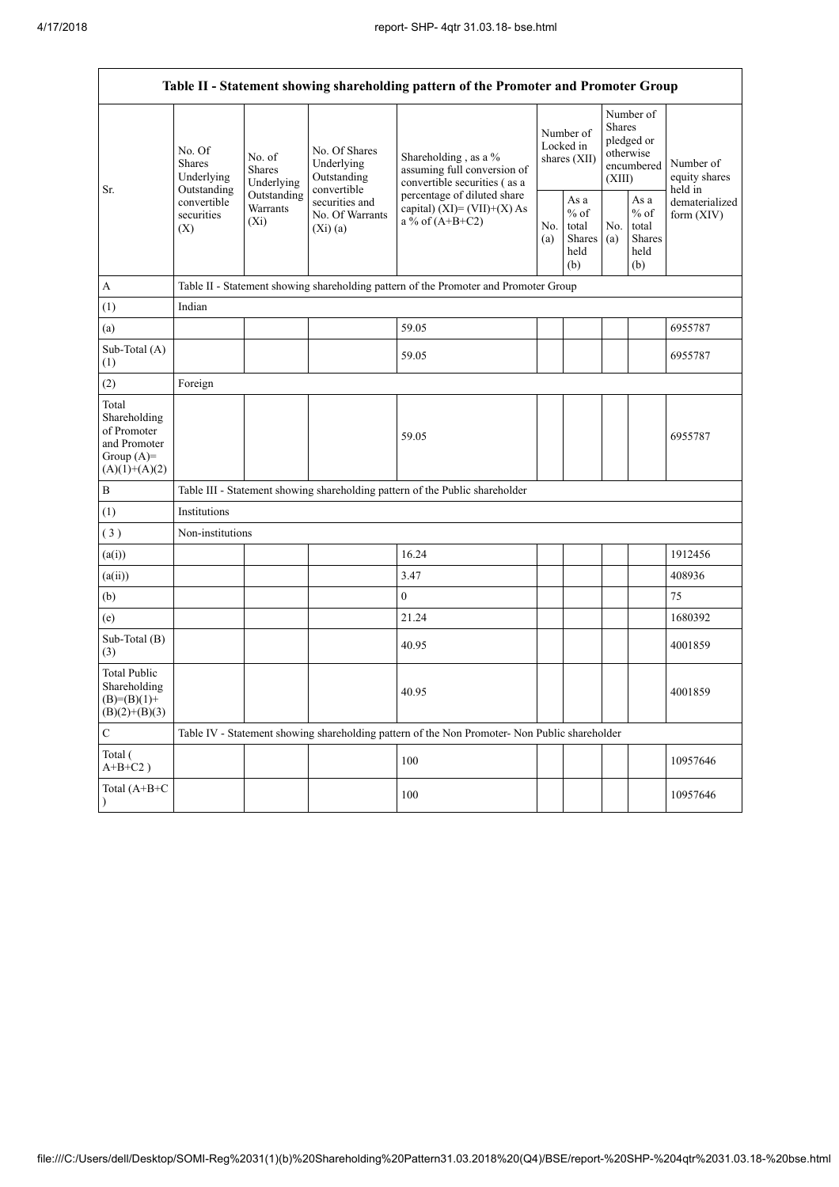| Table II - Statement showing shareholding pattern of the Promoter and Promoter Group    |                                                 |                                       |                                                           |                                                                                                                                                                             |  |                                                                |            |                                                                               |                                       |
|-----------------------------------------------------------------------------------------|-------------------------------------------------|---------------------------------------|-----------------------------------------------------------|-----------------------------------------------------------------------------------------------------------------------------------------------------------------------------|--|----------------------------------------------------------------|------------|-------------------------------------------------------------------------------|---------------------------------------|
| Sr.                                                                                     | No. Of<br>Shares<br>Underlying                  | No. of<br><b>Shares</b><br>Underlying | No. Of Shares<br>Underlying<br>Outstanding<br>convertible | Shareholding, as a $%$<br>assuming full conversion of<br>convertible securities (as a<br>percentage of diluted share<br>capital) $(XI) = (VII)+(X) As$<br>a % of $(A+B+C2)$ |  | Number of<br>Locked in<br>shares (XII)                         |            | Number of<br><b>Shares</b><br>pledged or<br>otherwise<br>encumbered<br>(XIII) | Number of<br>equity shares<br>held in |
|                                                                                         | Outstanding<br>convertible<br>securities<br>(X) | Outstanding<br>Warrants<br>$(X_i)$    | securities and<br>No. Of Warrants<br>(Xi)(a)              |                                                                                                                                                                             |  | As a<br>$%$ of<br>No.<br>total<br><b>Shares</b><br>held<br>(b) | No.<br>(a) | As a<br>$%$ of<br>total<br><b>Shares</b><br>held<br>(b)                       | dematerialized<br>form (XIV)          |
| A                                                                                       |                                                 |                                       |                                                           | Table II - Statement showing shareholding pattern of the Promoter and Promoter Group                                                                                        |  |                                                                |            |                                                                               |                                       |
| (1)                                                                                     | Indian                                          |                                       |                                                           |                                                                                                                                                                             |  |                                                                |            |                                                                               |                                       |
| (a)                                                                                     |                                                 |                                       |                                                           | 59.05                                                                                                                                                                       |  |                                                                |            |                                                                               | 6955787                               |
| Sub-Total (A)<br>(1)                                                                    |                                                 |                                       |                                                           | 59.05                                                                                                                                                                       |  |                                                                |            |                                                                               | 6955787                               |
| (2)                                                                                     | Foreign                                         |                                       |                                                           |                                                                                                                                                                             |  |                                                                |            |                                                                               |                                       |
| Total<br>Shareholding<br>of Promoter<br>and Promoter<br>Group $(A)=$<br>$(A)(1)+(A)(2)$ |                                                 |                                       |                                                           | 59.05                                                                                                                                                                       |  |                                                                |            |                                                                               | 6955787                               |
| B                                                                                       |                                                 |                                       |                                                           | Table III - Statement showing shareholding pattern of the Public shareholder                                                                                                |  |                                                                |            |                                                                               |                                       |
| (1)                                                                                     | Institutions                                    |                                       |                                                           |                                                                                                                                                                             |  |                                                                |            |                                                                               |                                       |
| (3)                                                                                     | Non-institutions                                |                                       |                                                           |                                                                                                                                                                             |  |                                                                |            |                                                                               |                                       |
| (a(i))                                                                                  |                                                 |                                       |                                                           | 16.24                                                                                                                                                                       |  |                                                                |            |                                                                               | 1912456                               |
| (a(ii))                                                                                 |                                                 |                                       |                                                           | 3.47                                                                                                                                                                        |  |                                                                |            |                                                                               | 408936                                |
| (b)                                                                                     |                                                 |                                       |                                                           | $\mathbf{0}$                                                                                                                                                                |  |                                                                |            |                                                                               | 75                                    |
| (e)                                                                                     |                                                 |                                       |                                                           | 21.24                                                                                                                                                                       |  |                                                                |            |                                                                               | 1680392                               |
| Sub-Total (B)<br>(3)                                                                    |                                                 |                                       |                                                           | 40.95                                                                                                                                                                       |  |                                                                |            |                                                                               | 4001859                               |
| <b>Total Public</b><br>Shareholding<br>$(B)= (B)(1) +$<br>$(B)(2)+(B)(3)$               |                                                 |                                       |                                                           | 40.95                                                                                                                                                                       |  |                                                                |            |                                                                               | 4001859                               |
| $\mathbf C$                                                                             |                                                 |                                       |                                                           | Table IV - Statement showing shareholding pattern of the Non Promoter- Non Public shareholder                                                                               |  |                                                                |            |                                                                               |                                       |
| Total (<br>$A+B+C2$ )                                                                   |                                                 |                                       |                                                           | 100                                                                                                                                                                         |  |                                                                |            |                                                                               | 10957646                              |
| Total (A+B+C<br>$\mathcal{E}$                                                           |                                                 |                                       |                                                           | 100                                                                                                                                                                         |  |                                                                |            |                                                                               | 10957646                              |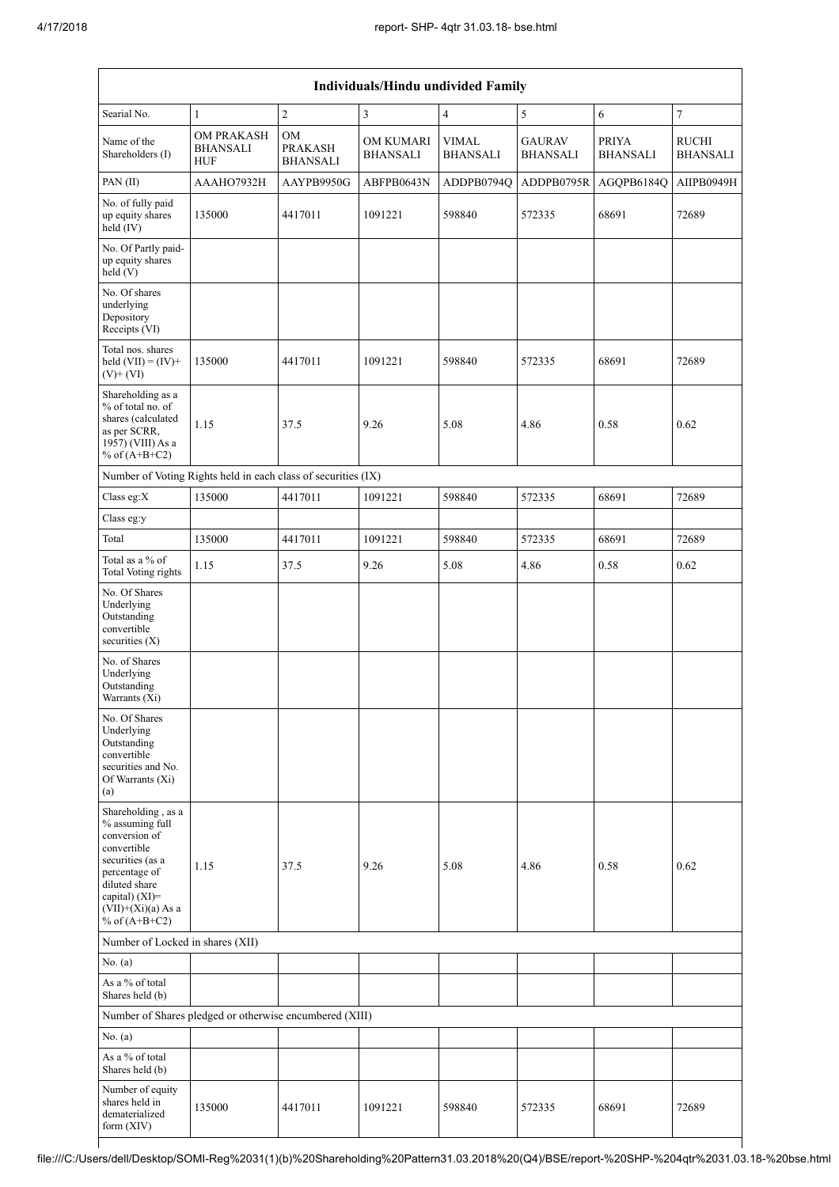| <b>Individuals/Hindu undivided Family</b>                                                                                                                                                |                                                               |                                         |                                     |                          |                                  |                                 |                                 |  |  |  |
|------------------------------------------------------------------------------------------------------------------------------------------------------------------------------------------|---------------------------------------------------------------|-----------------------------------------|-------------------------------------|--------------------------|----------------------------------|---------------------------------|---------------------------------|--|--|--|
| Searial No.                                                                                                                                                                              | $\mathbf{1}$                                                  | $\sqrt{2}$                              | $\mathfrak{Z}$                      | 4                        | 5                                | 6                               | $\boldsymbol{7}$                |  |  |  |
| Name of the<br>Shareholders (I)                                                                                                                                                          | <b>OM PRAKASH</b><br><b>BHANSALI</b><br><b>HUF</b>            | OM<br><b>PRAKASH</b><br><b>BHANSALI</b> | <b>OM KUMARI</b><br><b>BHANSALI</b> | <b>VIMAL</b><br>BHANSALI | <b>GAURAV</b><br><b>BHANSALI</b> | <b>PRIYA</b><br><b>BHANSALI</b> | <b>RUCHI</b><br><b>BHANSALI</b> |  |  |  |
| PAN(II)                                                                                                                                                                                  | AAAHO7932H                                                    | AAYPB9950G                              | ABFPB0643N                          | ADDPB0794Q               | ADDPB0795R                       | AGQPB6184Q                      | AIIPB0949H                      |  |  |  |
| No. of fully paid<br>up equity shares<br>held (IV)                                                                                                                                       | 135000                                                        | 4417011                                 | 1091221                             | 598840                   | 572335                           | 68691                           | 72689                           |  |  |  |
| No. Of Partly paid-<br>up equity shares<br>held(V)                                                                                                                                       |                                                               |                                         |                                     |                          |                                  |                                 |                                 |  |  |  |
| No. Of shares<br>underlying<br>Depository<br>Receipts (VI)                                                                                                                               |                                                               |                                         |                                     |                          |                                  |                                 |                                 |  |  |  |
| Total nos. shares<br>held $(VII) = (IV) +$<br>$(V)$ + $(VI)$                                                                                                                             | 135000                                                        | 4417011                                 | 1091221                             | 598840                   | 572335                           | 68691                           | 72689                           |  |  |  |
| Shareholding as a<br>% of total no. of<br>shares (calculated<br>as per SCRR,<br>1957) (VIII) As a<br>% of $(A+B+C2)$                                                                     | 1.15                                                          | 37.5                                    | 9.26                                | 5.08                     | 4.86                             | 0.58                            | 0.62                            |  |  |  |
|                                                                                                                                                                                          | Number of Voting Rights held in each class of securities (IX) |                                         |                                     |                          |                                  |                                 |                                 |  |  |  |
| Class eg:X                                                                                                                                                                               | 135000                                                        | 4417011                                 | 1091221                             | 598840                   | 572335                           | 68691                           | 72689                           |  |  |  |
| Class eg:y                                                                                                                                                                               |                                                               |                                         |                                     |                          |                                  |                                 |                                 |  |  |  |
| Total                                                                                                                                                                                    | 135000                                                        | 4417011                                 | 1091221                             | 598840                   | 572335                           | 68691                           | 72689                           |  |  |  |
| Total as a % of<br><b>Total Voting rights</b>                                                                                                                                            | 1.15                                                          | 37.5                                    | 9.26                                | 5.08                     | 4.86                             | 0.58                            | 0.62                            |  |  |  |
| No. Of Shares<br>Underlying<br>Outstanding<br>convertible<br>securities $(X)$                                                                                                            |                                                               |                                         |                                     |                          |                                  |                                 |                                 |  |  |  |
| No. of Shares<br>Underlying<br>Outstanding<br>Warrants (Xi)                                                                                                                              |                                                               |                                         |                                     |                          |                                  |                                 |                                 |  |  |  |
| No. Of Shares<br>Underlying<br>Outstanding<br>convertible<br>securities and No.<br>Of Warrants (Xi)<br>(a)                                                                               |                                                               |                                         |                                     |                          |                                  |                                 |                                 |  |  |  |
| Shareholding, as a<br>% assuming full<br>conversion of<br>convertible<br>securities (as a<br>percentage of<br>diluted share<br>capital) (XI)=<br>$(VII)+(Xi)(a)$ As a<br>% of $(A+B+C2)$ | 1.15                                                          | 37.5                                    | 9.26                                | 5.08                     | 4.86                             | 0.58                            | 0.62                            |  |  |  |
| Number of Locked in shares (XII)                                                                                                                                                         |                                                               |                                         |                                     |                          |                                  |                                 |                                 |  |  |  |
| No. (a)                                                                                                                                                                                  |                                                               |                                         |                                     |                          |                                  |                                 |                                 |  |  |  |
| As a % of total<br>Shares held (b)                                                                                                                                                       |                                                               |                                         |                                     |                          |                                  |                                 |                                 |  |  |  |
|                                                                                                                                                                                          | Number of Shares pledged or otherwise encumbered (XIII)       |                                         |                                     |                          |                                  |                                 |                                 |  |  |  |
| No. (a)                                                                                                                                                                                  |                                                               |                                         |                                     |                          |                                  |                                 |                                 |  |  |  |
| As a % of total<br>Shares held (b)                                                                                                                                                       |                                                               |                                         |                                     |                          |                                  |                                 |                                 |  |  |  |
| Number of equity<br>shares held in<br>dematerialized<br>form (XIV)                                                                                                                       | 135000                                                        | 4417011                                 | 1091221                             | 598840                   | 572335                           | 68691                           | 72689                           |  |  |  |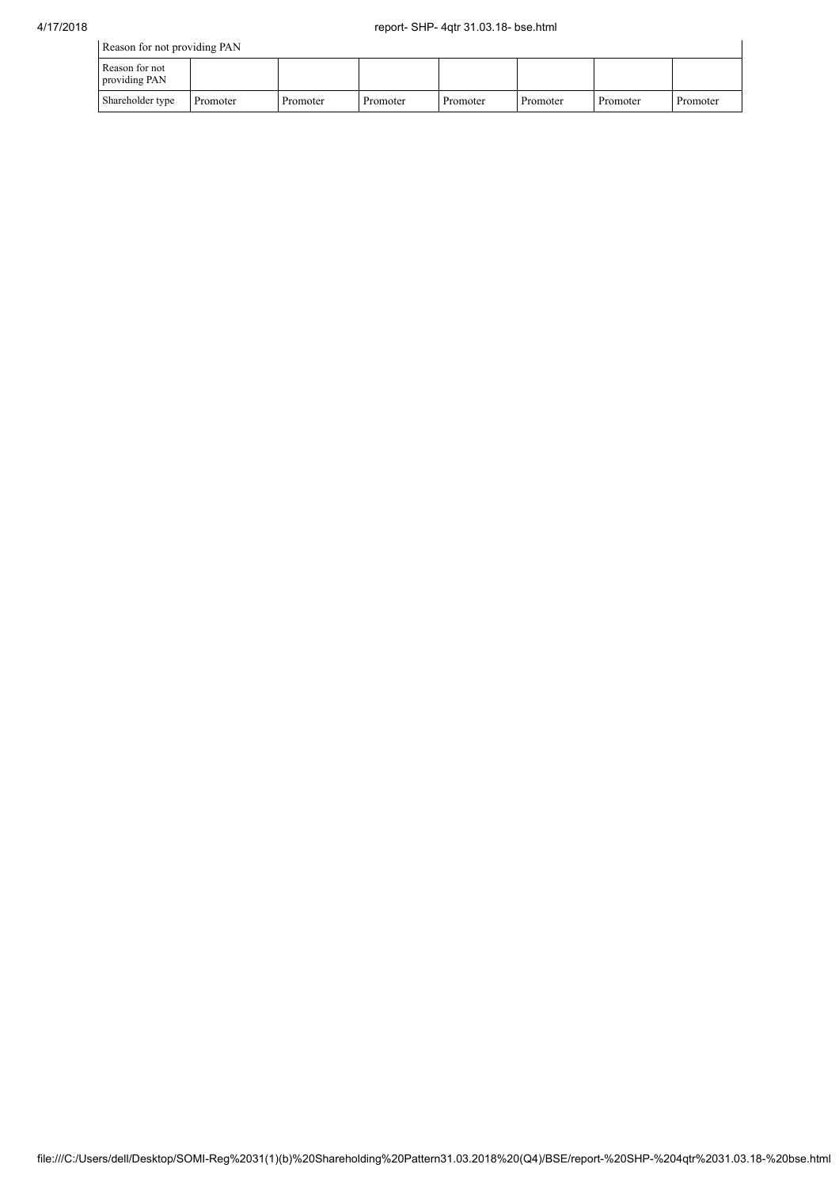| Reason for not providing PAN    |          |          |          |          |          |          |          |  |  |  |
|---------------------------------|----------|----------|----------|----------|----------|----------|----------|--|--|--|
| Reason for not<br>providing PAN |          |          |          |          |          |          |          |  |  |  |
| Shareholder type                | Promoter | Promoter | Promoter | Promoter | Promoter | Promoter | Promoter |  |  |  |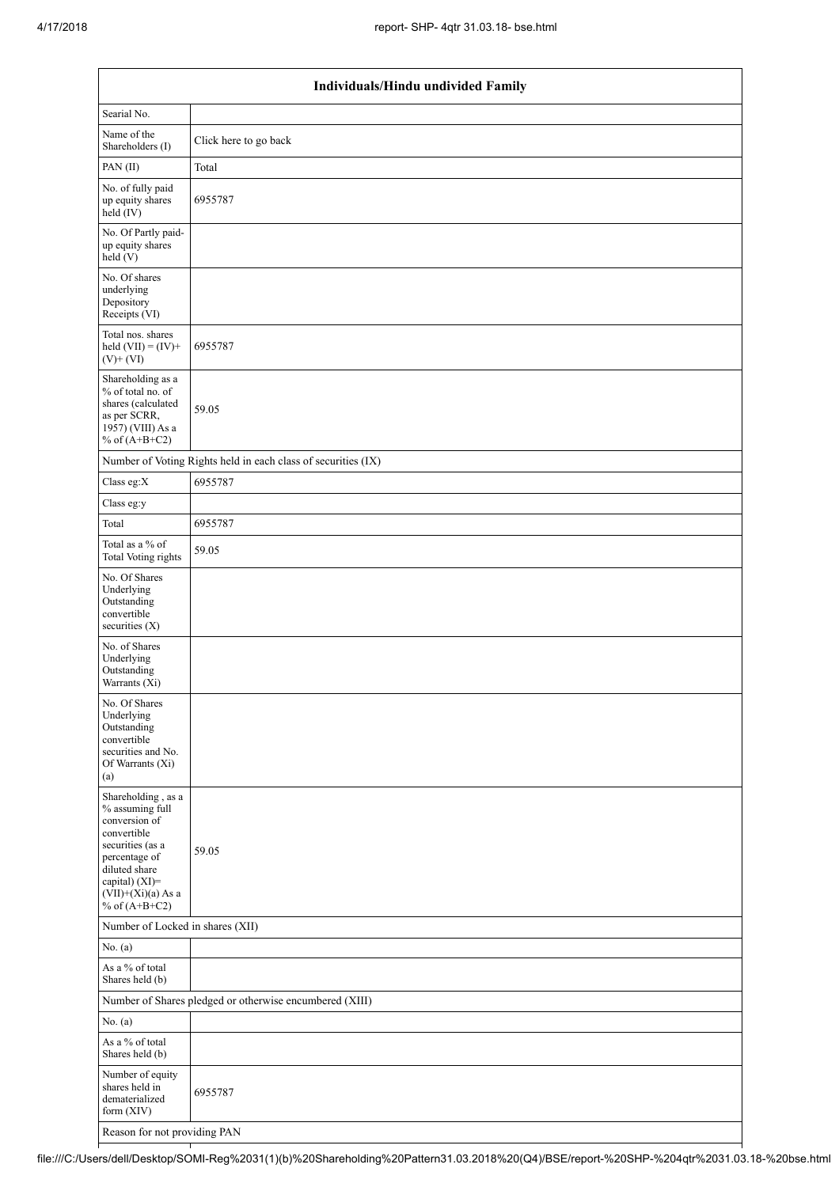| Individuals/Hindu undivided Family                                                                                                                                                          |                                                               |  |  |  |  |  |  |
|---------------------------------------------------------------------------------------------------------------------------------------------------------------------------------------------|---------------------------------------------------------------|--|--|--|--|--|--|
| Searial No.                                                                                                                                                                                 |                                                               |  |  |  |  |  |  |
| Name of the<br>Shareholders (I)                                                                                                                                                             | Click here to go back                                         |  |  |  |  |  |  |
| PAN(II)                                                                                                                                                                                     | Total                                                         |  |  |  |  |  |  |
| No. of fully paid<br>up equity shares<br>held (IV)                                                                                                                                          | 6955787                                                       |  |  |  |  |  |  |
| No. Of Partly paid-<br>up equity shares<br>held(V)                                                                                                                                          |                                                               |  |  |  |  |  |  |
| No. Of shares<br>underlying<br>Depository<br>Receipts (VI)                                                                                                                                  |                                                               |  |  |  |  |  |  |
| Total nos. shares<br>held $(VII) = (IV) +$<br>$(V) + (VI)$                                                                                                                                  | 6955787                                                       |  |  |  |  |  |  |
| Shareholding as a<br>% of total no. of<br>shares (calculated<br>as per SCRR,<br>1957) (VIII) As a<br>% of $(A+B+C2)$                                                                        | 59.05                                                         |  |  |  |  |  |  |
|                                                                                                                                                                                             | Number of Voting Rights held in each class of securities (IX) |  |  |  |  |  |  |
| Class eg: $X$                                                                                                                                                                               | 6955787                                                       |  |  |  |  |  |  |
| Class eg:y                                                                                                                                                                                  |                                                               |  |  |  |  |  |  |
| Total                                                                                                                                                                                       | 6955787                                                       |  |  |  |  |  |  |
| Total as a % of<br>Total Voting rights                                                                                                                                                      | 59.05                                                         |  |  |  |  |  |  |
| No. Of Shares<br>Underlying<br>Outstanding<br>convertible<br>securities (X)                                                                                                                 |                                                               |  |  |  |  |  |  |
| No. of Shares<br>Underlying<br>Outstanding<br>Warrants (Xi)                                                                                                                                 |                                                               |  |  |  |  |  |  |
| No. Of Shares<br>Underlying<br>Outstanding<br>convertible<br>securities and No.<br>Of Warrants (Xi)<br>(a)                                                                                  |                                                               |  |  |  |  |  |  |
| Shareholding, as a<br>% assuming full<br>conversion of<br>convertible<br>securities (as a<br>percentage of<br>diluted share<br>capital) $(XI)$ =<br>$(VII)+(Xi)(a)$ As a<br>% of $(A+B+C2)$ | 59.05                                                         |  |  |  |  |  |  |
| Number of Locked in shares (XII)                                                                                                                                                            |                                                               |  |  |  |  |  |  |
| No. $(a)$                                                                                                                                                                                   |                                                               |  |  |  |  |  |  |
| As a % of total<br>Shares held (b)                                                                                                                                                          |                                                               |  |  |  |  |  |  |
|                                                                                                                                                                                             | Number of Shares pledged or otherwise encumbered (XIII)       |  |  |  |  |  |  |
| No. $(a)$                                                                                                                                                                                   |                                                               |  |  |  |  |  |  |
| As a % of total<br>Shares held (b)                                                                                                                                                          |                                                               |  |  |  |  |  |  |
| Number of equity<br>shares held in<br>dematerialized<br>form (XIV)                                                                                                                          | 6955787                                                       |  |  |  |  |  |  |
| Reason for not providing PAN                                                                                                                                                                |                                                               |  |  |  |  |  |  |

file:///C:/Users/dell/Desktop/SOMI-Reg%2031(1)(b)%20Shareholding%20Pattern31.03.2018%20(Q4)/BSE/report-%20SHP-%204qtr%2031.03.18-%20bse.html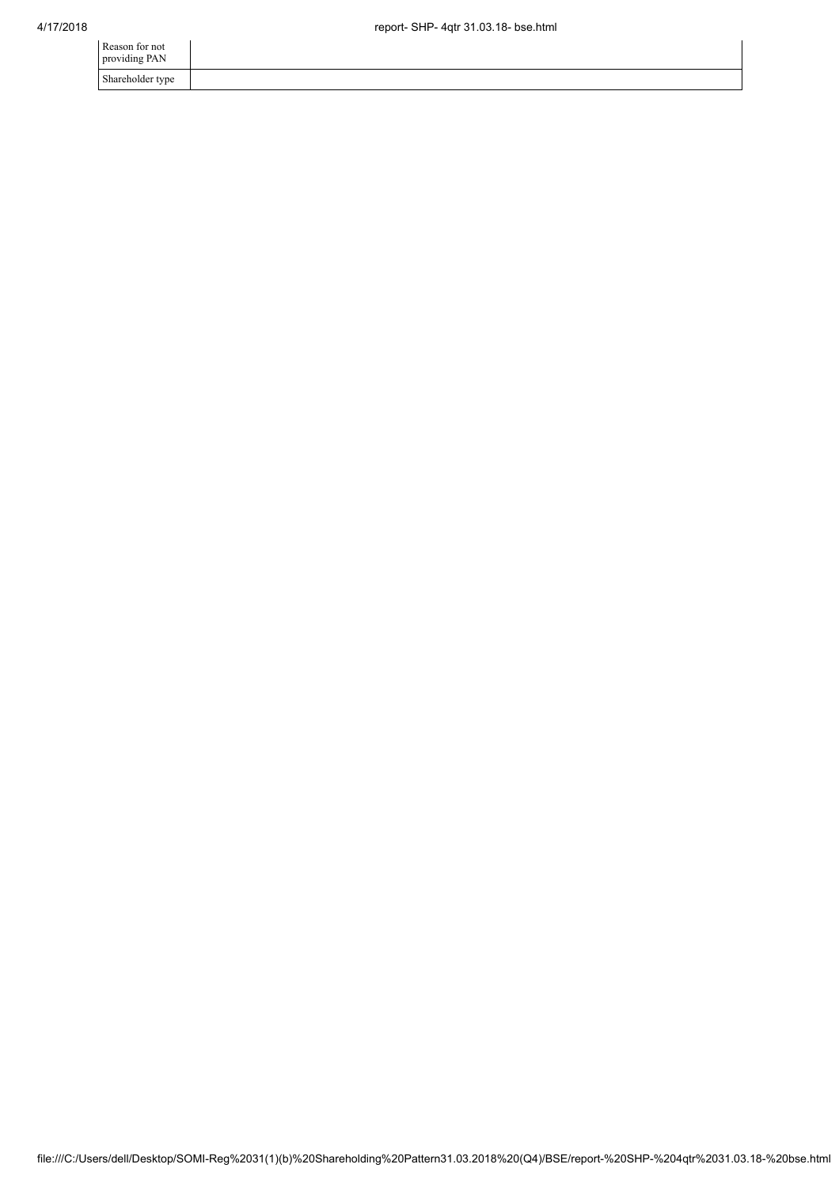| Reason for not<br>providing PAN |  |
|---------------------------------|--|
| Shareholder type                |  |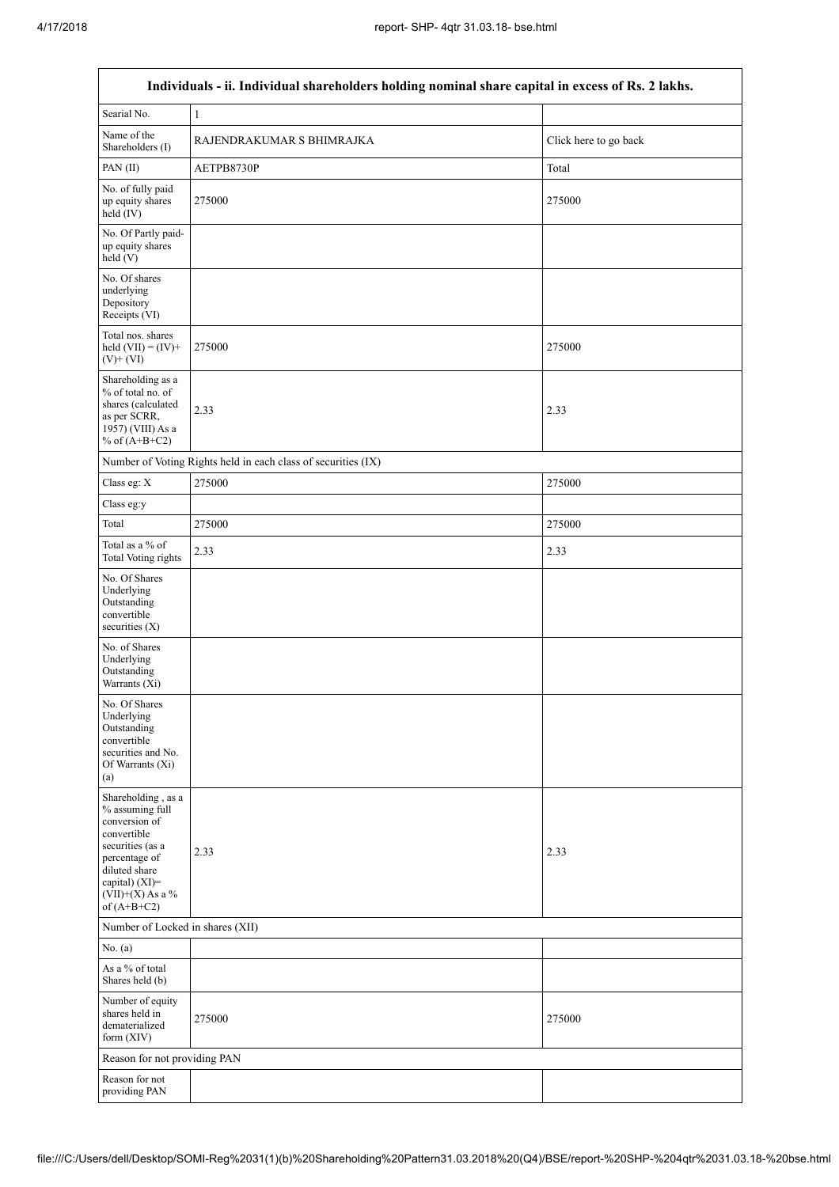٦

| Individuals - ii. Individual shareholders holding nominal share capital in excess of Rs. 2 lakhs.                                                                                    |                                                               |                       |  |  |  |  |  |  |
|--------------------------------------------------------------------------------------------------------------------------------------------------------------------------------------|---------------------------------------------------------------|-----------------------|--|--|--|--|--|--|
| Searial No.                                                                                                                                                                          | 1                                                             |                       |  |  |  |  |  |  |
| Name of the<br>Shareholders (I)                                                                                                                                                      | RAJENDRAKUMAR S BHIMRAJKA                                     | Click here to go back |  |  |  |  |  |  |
| PAN(II)                                                                                                                                                                              | AETPB8730P                                                    | Total                 |  |  |  |  |  |  |
| No. of fully paid<br>up equity shares<br>held (IV)                                                                                                                                   | 275000                                                        | 275000                |  |  |  |  |  |  |
| No. Of Partly paid-<br>up equity shares<br>held (V)                                                                                                                                  |                                                               |                       |  |  |  |  |  |  |
| No. Of shares<br>underlying<br>Depository<br>Receipts (VI)                                                                                                                           |                                                               |                       |  |  |  |  |  |  |
| Total nos. shares<br>held $(VII) = (IV) +$<br>$(V) + (VI)$                                                                                                                           | 275000                                                        | 275000                |  |  |  |  |  |  |
| Shareholding as a<br>% of total no. of<br>shares (calculated<br>as per SCRR,<br>1957) (VIII) As a<br>% of $(A+B+C2)$                                                                 | 2.33                                                          | 2.33                  |  |  |  |  |  |  |
|                                                                                                                                                                                      | Number of Voting Rights held in each class of securities (IX) |                       |  |  |  |  |  |  |
| Class eg: X                                                                                                                                                                          | 275000                                                        | 275000                |  |  |  |  |  |  |
| Class eg:y                                                                                                                                                                           |                                                               |                       |  |  |  |  |  |  |
| Total                                                                                                                                                                                | 275000                                                        | 275000                |  |  |  |  |  |  |
| Total as a % of<br><b>Total Voting rights</b>                                                                                                                                        | 2.33                                                          | 2.33                  |  |  |  |  |  |  |
| No. Of Shares<br>Underlying<br>Outstanding<br>convertible<br>securities $(X)$                                                                                                        |                                                               |                       |  |  |  |  |  |  |
| No. of Shares<br>Underlying<br>Outstanding<br>Warrants (Xi)                                                                                                                          |                                                               |                       |  |  |  |  |  |  |
| No. Of Shares<br>Underlying<br>Outstanding<br>convertible<br>securities and No.<br>Of Warrants (Xi)<br>(a)                                                                           |                                                               |                       |  |  |  |  |  |  |
| Shareholding, as a<br>% assuming full<br>conversion of<br>convertible<br>securities (as a<br>percentage of<br>diluted share<br>capital) (XI)=<br>$(VII)+(X)$ As a %<br>of $(A+B+C2)$ | 2.33                                                          | 2.33                  |  |  |  |  |  |  |
| Number of Locked in shares (XII)                                                                                                                                                     |                                                               |                       |  |  |  |  |  |  |
| No. $(a)$                                                                                                                                                                            |                                                               |                       |  |  |  |  |  |  |
| As a % of total<br>Shares held (b)                                                                                                                                                   |                                                               |                       |  |  |  |  |  |  |
| Number of equity<br>shares held in<br>dematerialized<br>form (XIV)                                                                                                                   | 275000                                                        | 275000                |  |  |  |  |  |  |
| Reason for not providing PAN                                                                                                                                                         |                                                               |                       |  |  |  |  |  |  |
| Reason for not<br>providing PAN                                                                                                                                                      |                                                               |                       |  |  |  |  |  |  |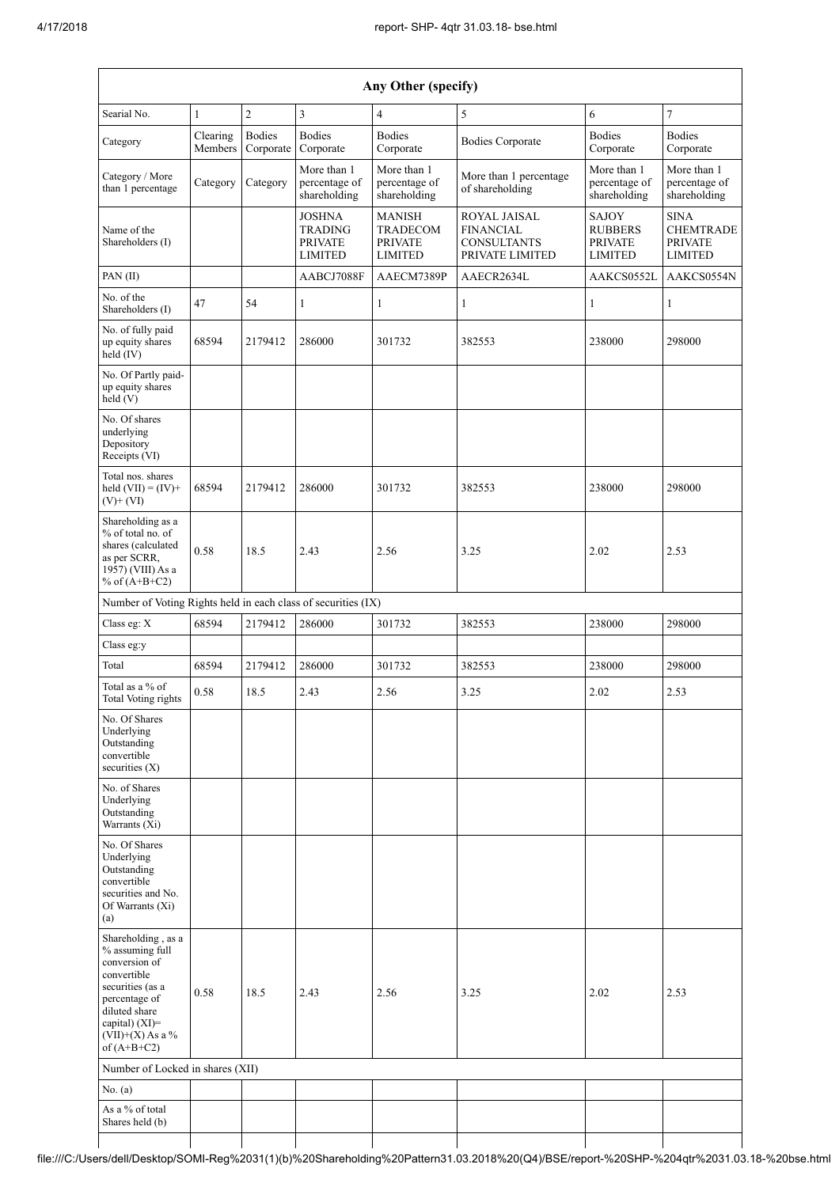| Any Other (specify)                                                                                                                                                                  |                     |                            |                                                                     |                                                                      |                                                                                  |                                                             |                                                                     |  |  |  |  |
|--------------------------------------------------------------------------------------------------------------------------------------------------------------------------------------|---------------------|----------------------------|---------------------------------------------------------------------|----------------------------------------------------------------------|----------------------------------------------------------------------------------|-------------------------------------------------------------|---------------------------------------------------------------------|--|--|--|--|
| Searial No.                                                                                                                                                                          | $\mathbf{1}$        | $\overline{c}$             | 3                                                                   | $\overline{4}$                                                       | 5                                                                                | 6                                                           | $\overline{7}$                                                      |  |  |  |  |
| Category                                                                                                                                                                             | Clearing<br>Members | <b>Bodies</b><br>Corporate | <b>Bodies</b><br>Corporate                                          | <b>Bodies</b><br>Corporate                                           | <b>Bodies Corporate</b>                                                          | <b>Bodies</b><br>Corporate                                  | <b>Bodies</b><br>Corporate                                          |  |  |  |  |
| Category / More<br>than 1 percentage                                                                                                                                                 | Category            | Category                   | More than 1<br>percentage of<br>shareholding                        | More than 1<br>percentage of<br>shareholding                         | More than 1 percentage<br>of shareholding                                        | More than 1<br>percentage of<br>shareholding                | More than 1<br>percentage of<br>shareholding                        |  |  |  |  |
| Name of the<br>Shareholders (I)                                                                                                                                                      |                     |                            | <b>JOSHNA</b><br><b>TRADING</b><br><b>PRIVATE</b><br><b>LIMITED</b> | <b>MANISH</b><br><b>TRADECOM</b><br><b>PRIVATE</b><br><b>LIMITED</b> | <b>ROYAL JAISAL</b><br><b>FINANCIAL</b><br><b>CONSULTANTS</b><br>PRIVATE LIMITED | SAJOY<br><b>RUBBERS</b><br><b>PRIVATE</b><br><b>LIMITED</b> | <b>SINA</b><br><b>CHEMTRADE</b><br><b>PRIVATE</b><br><b>LIMITED</b> |  |  |  |  |
| PAN(II)                                                                                                                                                                              |                     |                            | AABCJ7088F                                                          | AAECM7389P                                                           | AAECR2634L                                                                       | AAKCS0552L                                                  | AAKCS0554N                                                          |  |  |  |  |
| No. of the<br>Shareholders (I)                                                                                                                                                       | 47                  | 54                         | 1                                                                   | 1                                                                    | 1                                                                                | 1                                                           | 1                                                                   |  |  |  |  |
| No. of fully paid<br>up equity shares<br>held (IV)                                                                                                                                   | 68594               | 2179412                    | 286000                                                              | 301732                                                               | 382553                                                                           | 238000                                                      | 298000                                                              |  |  |  |  |
| No. Of Partly paid-<br>up equity shares<br>held (V)                                                                                                                                  |                     |                            |                                                                     |                                                                      |                                                                                  |                                                             |                                                                     |  |  |  |  |
| No. Of shares<br>underlying<br>Depository<br>Receipts (VI)                                                                                                                           |                     |                            |                                                                     |                                                                      |                                                                                  |                                                             |                                                                     |  |  |  |  |
| Total nos. shares<br>held $(VII) = (IV) +$<br>$(V)+(VI)$                                                                                                                             | 68594               | 2179412                    | 286000                                                              | 301732                                                               | 382553                                                                           | 238000                                                      | 298000                                                              |  |  |  |  |
| Shareholding as a<br>% of total no. of<br>shares (calculated<br>as per SCRR,<br>1957) (VIII) As a<br>% of $(A+B+C2)$                                                                 | 0.58                | 18.5                       | 2.43                                                                | 2.56                                                                 | 3.25                                                                             | 2.02                                                        | 2.53                                                                |  |  |  |  |
| Number of Voting Rights held in each class of securities (IX)                                                                                                                        |                     |                            |                                                                     |                                                                      |                                                                                  |                                                             |                                                                     |  |  |  |  |
| Class eg: $X$                                                                                                                                                                        | 68594               | 2179412                    | 286000                                                              | 301732                                                               | 382553                                                                           | 238000                                                      | 298000                                                              |  |  |  |  |
| Class eg:y                                                                                                                                                                           |                     |                            |                                                                     |                                                                      |                                                                                  |                                                             |                                                                     |  |  |  |  |
| Total<br>Total as a % of                                                                                                                                                             | 68594               | 2179412                    | 286000                                                              | 301732                                                               | 382553                                                                           | 238000                                                      | 298000                                                              |  |  |  |  |
| Total Voting rights                                                                                                                                                                  | 0.58                | 18.5                       | 2.43                                                                | 2.56                                                                 | 3.25                                                                             | 2.02                                                        | 2.53                                                                |  |  |  |  |
| No. Of Shares<br>Underlying<br>Outstanding<br>convertible<br>securities (X)                                                                                                          |                     |                            |                                                                     |                                                                      |                                                                                  |                                                             |                                                                     |  |  |  |  |
| No. of Shares<br>Underlying<br>Outstanding<br>Warrants (Xi)                                                                                                                          |                     |                            |                                                                     |                                                                      |                                                                                  |                                                             |                                                                     |  |  |  |  |
| No. Of Shares<br>Underlying<br>Outstanding<br>convertible<br>securities and No.<br>Of Warrants (Xi)<br>(a)                                                                           |                     |                            |                                                                     |                                                                      |                                                                                  |                                                             |                                                                     |  |  |  |  |
| Shareholding, as a<br>% assuming full<br>conversion of<br>convertible<br>securities (as a<br>percentage of<br>diluted share<br>capital) (XI)=<br>$(VII)+(X)$ As a %<br>of $(A+B+C2)$ | 0.58                | 18.5                       | 2.43                                                                | 2.56                                                                 | 3.25                                                                             | 2.02                                                        | 2.53                                                                |  |  |  |  |
| Number of Locked in shares (XII)                                                                                                                                                     |                     |                            |                                                                     |                                                                      |                                                                                  |                                                             |                                                                     |  |  |  |  |
| No. $(a)$                                                                                                                                                                            |                     |                            |                                                                     |                                                                      |                                                                                  |                                                             |                                                                     |  |  |  |  |
| As a % of total<br>Shares held (b)                                                                                                                                                   |                     |                            |                                                                     |                                                                      |                                                                                  |                                                             |                                                                     |  |  |  |  |

file:///C:/Users/dell/Desktop/SOMI-Reg%2031(1)(b)%20Shareholding%20Pattern31.03.2018%20(Q4)/BSE/report-%20SHP-%204qtr%2031.03.18-%20bse.html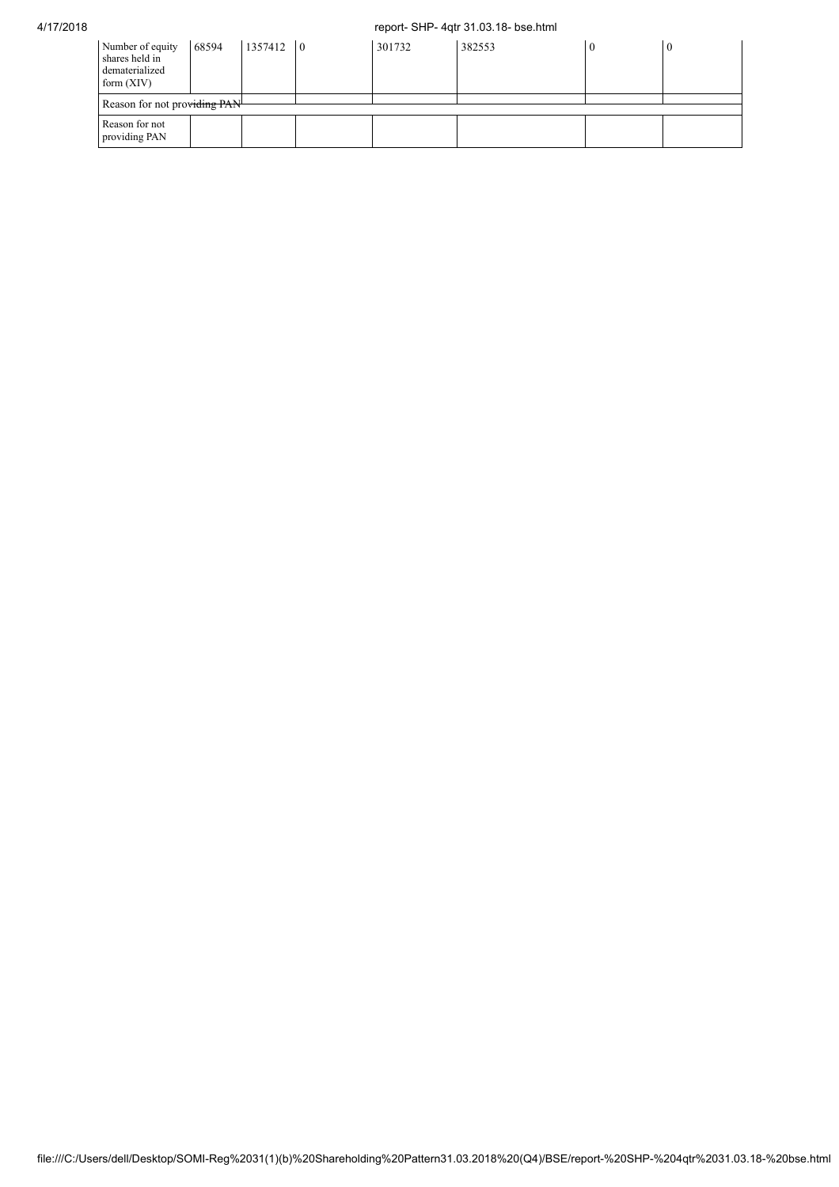## 4/17/2018 report- SHP- 4qtr 31.03.18- bse.html

| Number of equity<br>shares held in<br>dematerialized<br>form $(XIV)$ | 68594 | $1357412$ 0 |  | 301732 | 382553 |  | $\theta$ |
|----------------------------------------------------------------------|-------|-------------|--|--------|--------|--|----------|
| Reason for not providing PAN                                         |       |             |  |        |        |  |          |
| Reason for not<br>providing PAN                                      |       |             |  |        |        |  |          |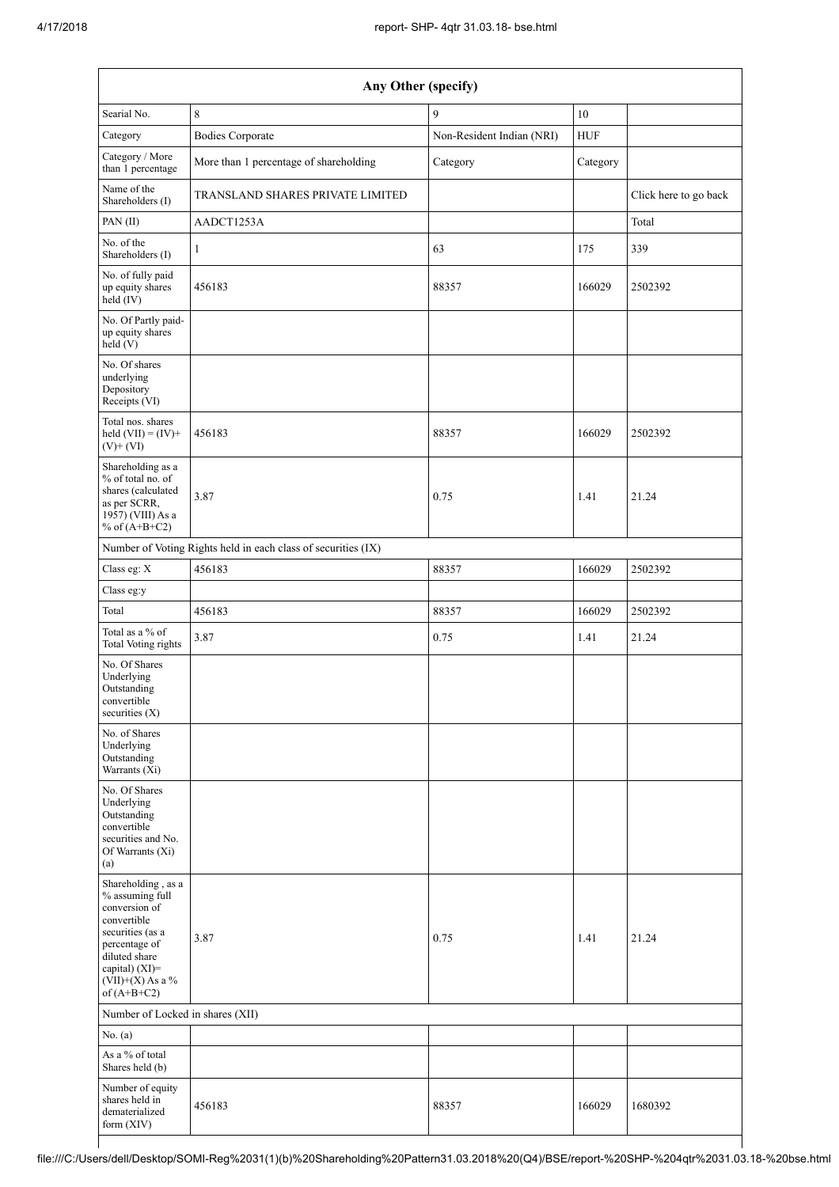| Any Other (specify)                                                                                                                                                                  |                                                               |                           |            |                       |  |  |  |
|--------------------------------------------------------------------------------------------------------------------------------------------------------------------------------------|---------------------------------------------------------------|---------------------------|------------|-----------------------|--|--|--|
| Searial No.                                                                                                                                                                          | 8                                                             | 9                         | $10\,$     |                       |  |  |  |
| Category                                                                                                                                                                             | <b>Bodies Corporate</b>                                       | Non-Resident Indian (NRI) | <b>HUF</b> |                       |  |  |  |
| Category / More<br>than 1 percentage                                                                                                                                                 | More than 1 percentage of shareholding                        | Category<br>Category      |            |                       |  |  |  |
| Name of the<br>Shareholders (I)                                                                                                                                                      | TRANSLAND SHARES PRIVATE LIMITED                              |                           |            | Click here to go back |  |  |  |
| PAN(II)                                                                                                                                                                              | AADCT1253A                                                    |                           |            | Total                 |  |  |  |
| No. of the<br>Shareholders (I)                                                                                                                                                       | 1                                                             | 63                        | 175        | 339                   |  |  |  |
| No. of fully paid<br>up equity shares<br>held (IV)                                                                                                                                   | 456183                                                        | 88357                     | 166029     | 2502392               |  |  |  |
| No. Of Partly paid-<br>up equity shares<br>held(V)                                                                                                                                   |                                                               |                           |            |                       |  |  |  |
| No. Of shares<br>underlying<br>Depository<br>Receipts (VI)                                                                                                                           |                                                               |                           |            |                       |  |  |  |
| Total nos, shares<br>held $(VII) = (IV) +$<br>$(V) + (VI)$                                                                                                                           | 456183                                                        | 88357                     | 166029     | 2502392               |  |  |  |
| Shareholding as a<br>% of total no. of<br>shares (calculated<br>as per SCRR,<br>1957) (VIII) As a<br>% of $(A+B+C2)$                                                                 | 3.87                                                          | 0.75                      | 1.41       | 21.24                 |  |  |  |
|                                                                                                                                                                                      | Number of Voting Rights held in each class of securities (IX) |                           |            |                       |  |  |  |
| Class eg: X                                                                                                                                                                          | 456183                                                        | 88357                     | 166029     | 2502392               |  |  |  |
| Class eg:y                                                                                                                                                                           |                                                               |                           |            |                       |  |  |  |
| Total                                                                                                                                                                                | 456183                                                        | 88357                     | 166029     | 2502392               |  |  |  |
| Total as a % of<br><b>Total Voting rights</b>                                                                                                                                        | 3.87                                                          | 0.75                      | 1.41       | 21.24                 |  |  |  |
| No. Of Shares<br>Underlying<br>Outstanding<br>convertible<br>securities $(X)$                                                                                                        |                                                               |                           |            |                       |  |  |  |
| No. of Shares<br>Underlying<br>Outstanding<br>Warrants (Xi)                                                                                                                          |                                                               |                           |            |                       |  |  |  |
| No. Of Shares<br>Underlying<br>Outstanding<br>convertible<br>securities and No.<br>Of Warrants (Xi)<br>(a)                                                                           |                                                               |                           |            |                       |  |  |  |
| Shareholding, as a<br>% assuming full<br>conversion of<br>convertible<br>securities (as a<br>percentage of<br>diluted share<br>capital) (XI)=<br>$(VII)+(X)$ As a %<br>of $(A+B+C2)$ | 3.87                                                          | 0.75                      | 1.41       | 21.24                 |  |  |  |
| Number of Locked in shares (XII)                                                                                                                                                     |                                                               |                           |            |                       |  |  |  |
| No. (a)                                                                                                                                                                              |                                                               |                           |            |                       |  |  |  |
| As a % of total<br>Shares held (b)                                                                                                                                                   |                                                               |                           |            |                       |  |  |  |
| Number of equity<br>shares held in<br>dematerialized<br>form (XIV)                                                                                                                   | 456183                                                        | 88357                     | 166029     | 1680392               |  |  |  |